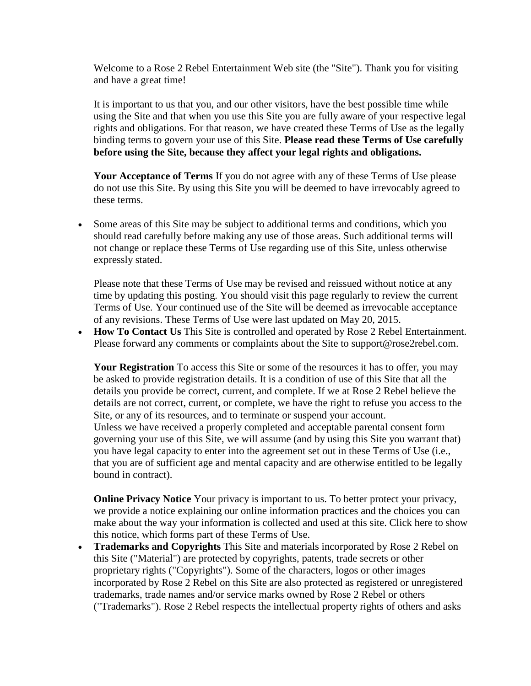Welcome to a Rose 2 Rebel Entertainment Web site (the "Site"). Thank you for visiting and have a great time!

It is important to us that you, and our other visitors, have the best possible time while using the Site and that when you use this Site you are fully aware of your respective legal rights and obligations. For that reason, we have created these Terms of Use as the legally binding terms to govern your use of this Site. **Please read these Terms of Use carefully before using the Site, because they affect your legal rights and obligations.**

**Your Acceptance of Terms** If you do not agree with any of these Terms of Use please do not use this Site. By using this Site you will be deemed to have irrevocably agreed to these terms.

 Some areas of this Site may be subject to additional terms and conditions, which you should read carefully before making any use of those areas. Such additional terms will not change or replace these Terms of Use regarding use of this Site, unless otherwise expressly stated.

Please note that these Terms of Use may be revised and reissued without notice at any time by updating this posting. You should visit this page regularly to review the current Terms of Use. Your continued use of the Site will be deemed as irrevocable acceptance of any revisions. These Terms of Use were last updated on May 20, 2015.

 **How To Contact Us** This Site is controlled and operated by Rose 2 Rebel Entertainment. Please forward any comments or complaints about the Site to support@rose2rebel.com.

Your Registration To access this Site or some of the resources it has to offer, you may be asked to provide registration details. It is a condition of use of this Site that all the details you provide be correct, current, and complete. If we at Rose 2 Rebel believe the details are not correct, current, or complete, we have the right to refuse you access to the Site, or any of its resources, and to terminate or suspend your account. Unless we have received a properly completed and acceptable parental consent form governing your use of this Site, we will assume (and by using this Site you warrant that) you have legal capacity to enter into the agreement set out in these Terms of Use (i.e., that you are of sufficient age and mental capacity and are otherwise entitled to be legally bound in contract).

**Online Privacy Notice** Your privacy is important to us. To better protect your privacy, we provide a notice explaining our online information practices and the choices you can make about the way your information is collected and used at this site. Click here to show this notice, which forms part of these Terms of Use.

 **Trademarks and Copyrights** This Site and materials incorporated by Rose 2 Rebel on this Site ("Material") are protected by copyrights, patents, trade secrets or other proprietary rights ("Copyrights"). Some of the characters, logos or other images incorporated by Rose 2 Rebel on this Site are also protected as registered or unregistered trademarks, trade names and/or service marks owned by Rose 2 Rebel or others ("Trademarks"). Rose 2 Rebel respects the intellectual property rights of others and asks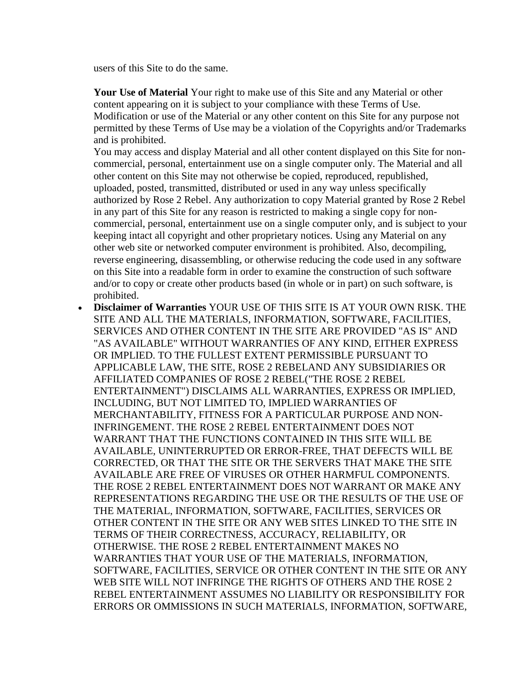users of this Site to do the same.

**Your Use of Material** Your right to make use of this Site and any Material or other content appearing on it is subject to your compliance with these Terms of Use. Modification or use of the Material or any other content on this Site for any purpose not permitted by these Terms of Use may be a violation of the Copyrights and/or Trademarks and is prohibited.

You may access and display Material and all other content displayed on this Site for noncommercial, personal, entertainment use on a single computer only. The Material and all other content on this Site may not otherwise be copied, reproduced, republished, uploaded, posted, transmitted, distributed or used in any way unless specifically authorized by Rose 2 Rebel. Any authorization to copy Material granted by Rose 2 Rebel in any part of this Site for any reason is restricted to making a single copy for noncommercial, personal, entertainment use on a single computer only, and is subject to your keeping intact all copyright and other proprietary notices. Using any Material on any other web site or networked computer environment is prohibited. Also, decompiling, reverse engineering, disassembling, or otherwise reducing the code used in any software on this Site into a readable form in order to examine the construction of such software and/or to copy or create other products based (in whole or in part) on such software, is prohibited.

 **Disclaimer of Warranties** YOUR USE OF THIS SITE IS AT YOUR OWN RISK. THE SITE AND ALL THE MATERIALS, INFORMATION, SOFTWARE, FACILITIES, SERVICES AND OTHER CONTENT IN THE SITE ARE PROVIDED "AS IS" AND "AS AVAILABLE" WITHOUT WARRANTIES OF ANY KIND, EITHER EXPRESS OR IMPLIED. TO THE FULLEST EXTENT PERMISSIBLE PURSUANT TO APPLICABLE LAW, THE SITE, ROSE 2 REBELAND ANY SUBSIDIARIES OR AFFILIATED COMPANIES OF ROSE 2 REBEL("THE ROSE 2 REBEL ENTERTAINMENT") DISCLAIMS ALL WARRANTIES, EXPRESS OR IMPLIED, INCLUDING, BUT NOT LIMITED TO, IMPLIED WARRANTIES OF MERCHANTABILITY, FITNESS FOR A PARTICULAR PURPOSE AND NON-INFRINGEMENT. THE ROSE 2 REBEL ENTERTAINMENT DOES NOT WARRANT THAT THE FUNCTIONS CONTAINED IN THIS SITE WILL BE AVAILABLE, UNINTERRUPTED OR ERROR-FREE, THAT DEFECTS WILL BE CORRECTED, OR THAT THE SITE OR THE SERVERS THAT MAKE THE SITE AVAILABLE ARE FREE OF VIRUSES OR OTHER HARMFUL COMPONENTS. THE ROSE 2 REBEL ENTERTAINMENT DOES NOT WARRANT OR MAKE ANY REPRESENTATIONS REGARDING THE USE OR THE RESULTS OF THE USE OF THE MATERIAL, INFORMATION, SOFTWARE, FACILITIES, SERVICES OR OTHER CONTENT IN THE SITE OR ANY WEB SITES LINKED TO THE SITE IN TERMS OF THEIR CORRECTNESS, ACCURACY, RELIABILITY, OR OTHERWISE. THE ROSE 2 REBEL ENTERTAINMENT MAKES NO WARRANTIES THAT YOUR USE OF THE MATERIALS, INFORMATION, SOFTWARE, FACILITIES, SERVICE OR OTHER CONTENT IN THE SITE OR ANY WEB SITE WILL NOT INFRINGE THE RIGHTS OF OTHERS AND THE ROSE 2 REBEL ENTERTAINMENT ASSUMES NO LIABILITY OR RESPONSIBILITY FOR ERRORS OR OMMISSIONS IN SUCH MATERIALS, INFORMATION, SOFTWARE,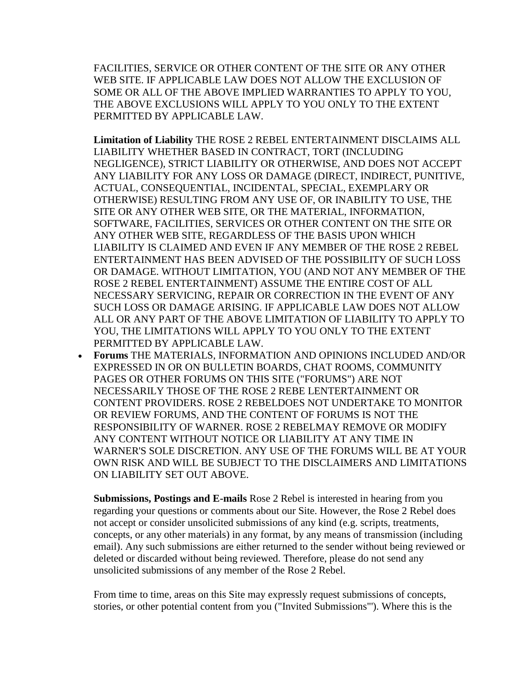FACILITIES, SERVICE OR OTHER CONTENT OF THE SITE OR ANY OTHER WEB SITE. IF APPLICABLE LAW DOES NOT ALLOW THE EXCLUSION OF SOME OR ALL OF THE ABOVE IMPLIED WARRANTIES TO APPLY TO YOU, THE ABOVE EXCLUSIONS WILL APPLY TO YOU ONLY TO THE EXTENT PERMITTED BY APPLICABLE LAW.

**Limitation of Liability** THE ROSE 2 REBEL ENTERTAINMENT DISCLAIMS ALL LIABILITY WHETHER BASED IN CONTRACT, TORT (INCLUDING NEGLIGENCE), STRICT LIABILITY OR OTHERWISE, AND DOES NOT ACCEPT ANY LIABILITY FOR ANY LOSS OR DAMAGE (DIRECT, INDIRECT, PUNITIVE, ACTUAL, CONSEQUENTIAL, INCIDENTAL, SPECIAL, EXEMPLARY OR OTHERWISE) RESULTING FROM ANY USE OF, OR INABILITY TO USE, THE SITE OR ANY OTHER WEB SITE, OR THE MATERIAL, INFORMATION, SOFTWARE, FACILITIES, SERVICES OR OTHER CONTENT ON THE SITE OR ANY OTHER WEB SITE, REGARDLESS OF THE BASIS UPON WHICH LIABILITY IS CLAIMED AND EVEN IF ANY MEMBER OF THE ROSE 2 REBEL ENTERTAINMENT HAS BEEN ADVISED OF THE POSSIBILITY OF SUCH LOSS OR DAMAGE. WITHOUT LIMITATION, YOU (AND NOT ANY MEMBER OF THE ROSE 2 REBEL ENTERTAINMENT) ASSUME THE ENTIRE COST OF ALL NECESSARY SERVICING, REPAIR OR CORRECTION IN THE EVENT OF ANY SUCH LOSS OR DAMAGE ARISING. IF APPLICABLE LAW DOES NOT ALLOW ALL OR ANY PART OF THE ABOVE LIMITATION OF LIABILITY TO APPLY TO YOU, THE LIMITATIONS WILL APPLY TO YOU ONLY TO THE EXTENT PERMITTED BY APPLICABLE LAW.

 **Forums** THE MATERIALS, INFORMATION AND OPINIONS INCLUDED AND/OR EXPRESSED IN OR ON BULLETIN BOARDS, CHAT ROOMS, COMMUNITY PAGES OR OTHER FORUMS ON THIS SITE ("FORUMS") ARE NOT NECESSARILY THOSE OF THE ROSE 2 REBE LENTERTAINMENT OR CONTENT PROVIDERS. ROSE 2 REBELDOES NOT UNDERTAKE TO MONITOR OR REVIEW FORUMS, AND THE CONTENT OF FORUMS IS NOT THE RESPONSIBILITY OF WARNER. ROSE 2 REBELMAY REMOVE OR MODIFY ANY CONTENT WITHOUT NOTICE OR LIABILITY AT ANY TIME IN WARNER'S SOLE DISCRETION. ANY USE OF THE FORUMS WILL BE AT YOUR OWN RISK AND WILL BE SUBJECT TO THE DISCLAIMERS AND LIMITATIONS ON LIABILITY SET OUT ABOVE.

**Submissions, Postings and E-mails** Rose 2 Rebel is interested in hearing from you regarding your questions or comments about our Site. However, the Rose 2 Rebel does not accept or consider unsolicited submissions of any kind (e.g. scripts, treatments, concepts, or any other materials) in any format, by any means of transmission (including email). Any such submissions are either returned to the sender without being reviewed or deleted or discarded without being reviewed. Therefore, please do not send any unsolicited submissions of any member of the Rose 2 Rebel.

From time to time, areas on this Site may expressly request submissions of concepts, stories, or other potential content from you ("Invited Submissions"'). Where this is the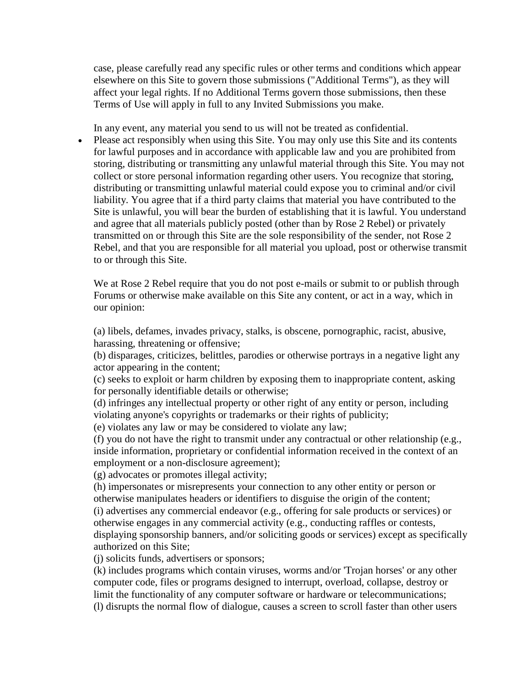case, please carefully read any specific rules or other terms and conditions which appear elsewhere on this Site to govern those submissions ("Additional Terms"), as they will affect your legal rights. If no Additional Terms govern those submissions, then these Terms of Use will apply in full to any Invited Submissions you make.

In any event, any material you send to us will not be treated as confidential.

• Please act responsibly when using this Site. You may only use this Site and its contents for lawful purposes and in accordance with applicable law and you are prohibited from storing, distributing or transmitting any unlawful material through this Site. You may not collect or store personal information regarding other users. You recognize that storing, distributing or transmitting unlawful material could expose you to criminal and/or civil liability. You agree that if a third party claims that material you have contributed to the Site is unlawful, you will bear the burden of establishing that it is lawful. You understand and agree that all materials publicly posted (other than by Rose 2 Rebel) or privately transmitted on or through this Site are the sole responsibility of the sender, not Rose 2 Rebel, and that you are responsible for all material you upload, post or otherwise transmit to or through this Site.

We at Rose 2 Rebel require that you do not post e-mails or submit to or publish through Forums or otherwise make available on this Site any content, or act in a way, which in our opinion:

(a) libels, defames, invades privacy, stalks, is obscene, pornographic, racist, abusive, harassing, threatening or offensive;

(b) disparages, criticizes, belittles, parodies or otherwise portrays in a negative light any actor appearing in the content;

(c) seeks to exploit or harm children by exposing them to inappropriate content, asking for personally identifiable details or otherwise;

(d) infringes any intellectual property or other right of any entity or person, including violating anyone's copyrights or trademarks or their rights of publicity;

(e) violates any law or may be considered to violate any law;

(f) you do not have the right to transmit under any contractual or other relationship (e.g., inside information, proprietary or confidential information received in the context of an employment or a non-disclosure agreement);

(g) advocates or promotes illegal activity;

(h) impersonates or misrepresents your connection to any other entity or person or otherwise manipulates headers or identifiers to disguise the origin of the content; (i) advertises any commercial endeavor (e.g., offering for sale products or services) or otherwise engages in any commercial activity (e.g., conducting raffles or contests, displaying sponsorship banners, and/or soliciting goods or services) except as specifically authorized on this Site;

(j) solicits funds, advertisers or sponsors;

(k) includes programs which contain viruses, worms and/or 'Trojan horses' or any other computer code, files or programs designed to interrupt, overload, collapse, destroy or limit the functionality of any computer software or hardware or telecommunications; (l) disrupts the normal flow of dialogue, causes a screen to scroll faster than other users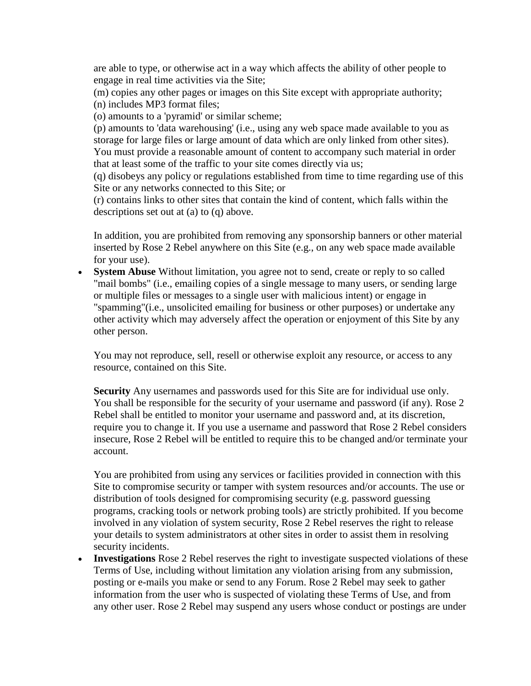are able to type, or otherwise act in a way which affects the ability of other people to engage in real time activities via the Site;

(m) copies any other pages or images on this Site except with appropriate authority; (n) includes MP3 format files;

(o) amounts to a 'pyramid' or similar scheme;

(p) amounts to 'data warehousing' (i.e., using any web space made available to you as storage for large files or large amount of data which are only linked from other sites). You must provide a reasonable amount of content to accompany such material in order that at least some of the traffic to your site comes directly via us;

(q) disobeys any policy or regulations established from time to time regarding use of this Site or any networks connected to this Site; or

(r) contains links to other sites that contain the kind of content, which falls within the descriptions set out at (a) to (q) above.

In addition, you are prohibited from removing any sponsorship banners or other material inserted by Rose 2 Rebel anywhere on this Site (e.g., on any web space made available for your use).

 **System Abuse** Without limitation, you agree not to send, create or reply to so called "mail bombs" (i.e., emailing copies of a single message to many users, or sending large or multiple files or messages to a single user with malicious intent) or engage in "spamming"(i.e., unsolicited emailing for business or other purposes) or undertake any other activity which may adversely affect the operation or enjoyment of this Site by any other person.

You may not reproduce, sell, resell or otherwise exploit any resource, or access to any resource, contained on this Site.

**Security** Any usernames and passwords used for this Site are for individual use only. You shall be responsible for the security of your username and password (if any). Rose 2 Rebel shall be entitled to monitor your username and password and, at its discretion, require you to change it. If you use a username and password that Rose 2 Rebel considers insecure, Rose 2 Rebel will be entitled to require this to be changed and/or terminate your account.

You are prohibited from using any services or facilities provided in connection with this Site to compromise security or tamper with system resources and/or accounts. The use or distribution of tools designed for compromising security (e.g. password guessing programs, cracking tools or network probing tools) are strictly prohibited. If you become involved in any violation of system security, Rose 2 Rebel reserves the right to release your details to system administrators at other sites in order to assist them in resolving security incidents.

 **Investigations** Rose 2 Rebel reserves the right to investigate suspected violations of these Terms of Use, including without limitation any violation arising from any submission, posting or e-mails you make or send to any Forum. Rose 2 Rebel may seek to gather information from the user who is suspected of violating these Terms of Use, and from any other user. Rose 2 Rebel may suspend any users whose conduct or postings are under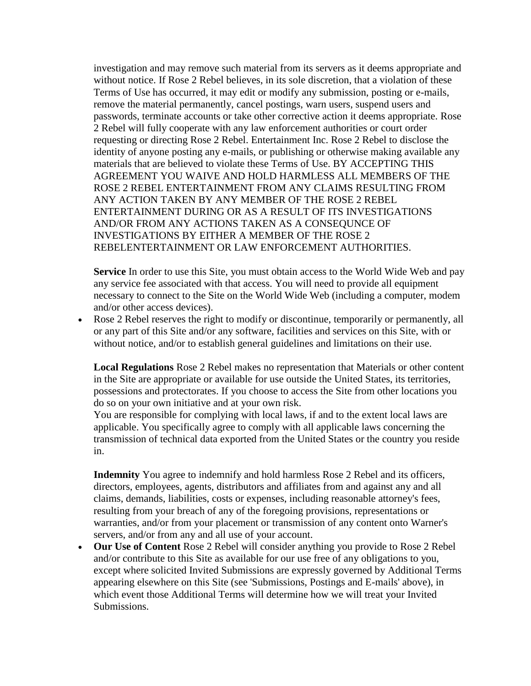investigation and may remove such material from its servers as it deems appropriate and without notice. If Rose 2 Rebel believes, in its sole discretion, that a violation of these Terms of Use has occurred, it may edit or modify any submission, posting or e-mails, remove the material permanently, cancel postings, warn users, suspend users and passwords, terminate accounts or take other corrective action it deems appropriate. Rose 2 Rebel will fully cooperate with any law enforcement authorities or court order requesting or directing Rose 2 Rebel. Entertainment Inc. Rose 2 Rebel to disclose the identity of anyone posting any e-mails, or publishing or otherwise making available any materials that are believed to violate these Terms of Use. BY ACCEPTING THIS AGREEMENT YOU WAIVE AND HOLD HARMLESS ALL MEMBERS OF THE ROSE 2 REBEL ENTERTAINMENT FROM ANY CLAIMS RESULTING FROM ANY ACTION TAKEN BY ANY MEMBER OF THE ROSE 2 REBEL ENTERTAINMENT DURING OR AS A RESULT OF ITS INVESTIGATIONS AND/OR FROM ANY ACTIONS TAKEN AS A CONSEQUNCE OF INVESTIGATIONS BY EITHER A MEMBER OF THE ROSE 2 REBELENTERTAINMENT OR LAW ENFORCEMENT AUTHORITIES.

**Service** In order to use this Site, you must obtain access to the World Wide Web and pay any service fee associated with that access. You will need to provide all equipment necessary to connect to the Site on the World Wide Web (including a computer, modem and/or other access devices).

 Rose 2 Rebel reserves the right to modify or discontinue, temporarily or permanently, all or any part of this Site and/or any software, facilities and services on this Site, with or without notice, and/or to establish general guidelines and limitations on their use.

**Local Regulations** Rose 2 Rebel makes no representation that Materials or other content in the Site are appropriate or available for use outside the United States, its territories, possessions and protectorates. If you choose to access the Site from other locations you do so on your own initiative and at your own risk.

You are responsible for complying with local laws, if and to the extent local laws are applicable. You specifically agree to comply with all applicable laws concerning the transmission of technical data exported from the United States or the country you reside in.

**Indemnity** You agree to indemnify and hold harmless Rose 2 Rebel and its officers, directors, employees, agents, distributors and affiliates from and against any and all claims, demands, liabilities, costs or expenses, including reasonable attorney's fees, resulting from your breach of any of the foregoing provisions, representations or warranties, and/or from your placement or transmission of any content onto Warner's servers, and/or from any and all use of your account.

 **Our Use of Content** Rose 2 Rebel will consider anything you provide to Rose 2 Rebel and/or contribute to this Site as available for our use free of any obligations to you, except where solicited Invited Submissions are expressly governed by Additional Terms appearing elsewhere on this Site (see 'Submissions, Postings and E-mails' above), in which event those Additional Terms will determine how we will treat your Invited Submissions.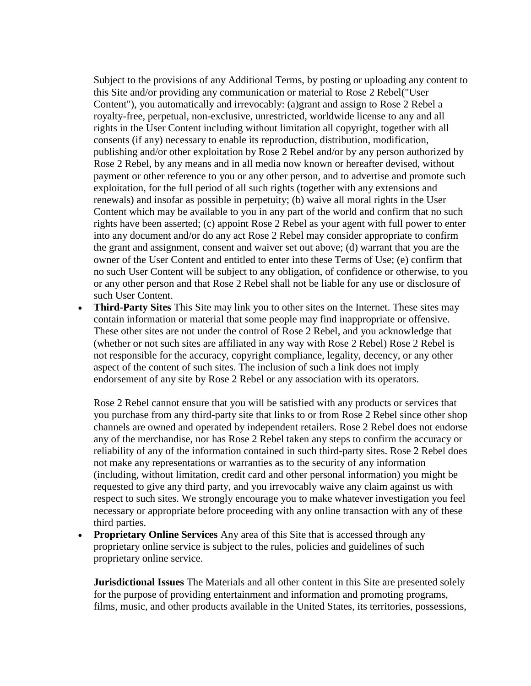Subject to the provisions of any Additional Terms, by posting or uploading any content to this Site and/or providing any communication or material to Rose 2 Rebel("User Content"), you automatically and irrevocably: (a)grant and assign to Rose 2 Rebel a royalty-free, perpetual, non-exclusive, unrestricted, worldwide license to any and all rights in the User Content including without limitation all copyright, together with all consents (if any) necessary to enable its reproduction, distribution, modification, publishing and/or other exploitation by Rose 2 Rebel and/or by any person authorized by Rose 2 Rebel, by any means and in all media now known or hereafter devised, without payment or other reference to you or any other person, and to advertise and promote such exploitation, for the full period of all such rights (together with any extensions and renewals) and insofar as possible in perpetuity; (b) waive all moral rights in the User Content which may be available to you in any part of the world and confirm that no such rights have been asserted; (c) appoint Rose 2 Rebel as your agent with full power to enter into any document and/or do any act Rose 2 Rebel may consider appropriate to confirm the grant and assignment, consent and waiver set out above; (d) warrant that you are the owner of the User Content and entitled to enter into these Terms of Use; (e) confirm that no such User Content will be subject to any obligation, of confidence or otherwise, to you or any other person and that Rose 2 Rebel shall not be liable for any use or disclosure of such User Content.

 **Third-Party Sites** This Site may link you to other sites on the Internet. These sites may contain information or material that some people may find inappropriate or offensive. These other sites are not under the control of Rose 2 Rebel, and you acknowledge that (whether or not such sites are affiliated in any way with Rose 2 Rebel) Rose 2 Rebel is not responsible for the accuracy, copyright compliance, legality, decency, or any other aspect of the content of such sites. The inclusion of such a link does not imply endorsement of any site by Rose 2 Rebel or any association with its operators.

Rose 2 Rebel cannot ensure that you will be satisfied with any products or services that you purchase from any third-party site that links to or from Rose 2 Rebel since other shop channels are owned and operated by independent retailers. Rose 2 Rebel does not endorse any of the merchandise, nor has Rose 2 Rebel taken any steps to confirm the accuracy or reliability of any of the information contained in such third-party sites. Rose 2 Rebel does not make any representations or warranties as to the security of any information (including, without limitation, credit card and other personal information) you might be requested to give any third party, and you irrevocably waive any claim against us with respect to such sites. We strongly encourage you to make whatever investigation you feel necessary or appropriate before proceeding with any online transaction with any of these third parties.

 **Proprietary Online Services** Any area of this Site that is accessed through any proprietary online service is subject to the rules, policies and guidelines of such proprietary online service.

**Jurisdictional Issues** The Materials and all other content in this Site are presented solely for the purpose of providing entertainment and information and promoting programs, films, music, and other products available in the United States, its territories, possessions,